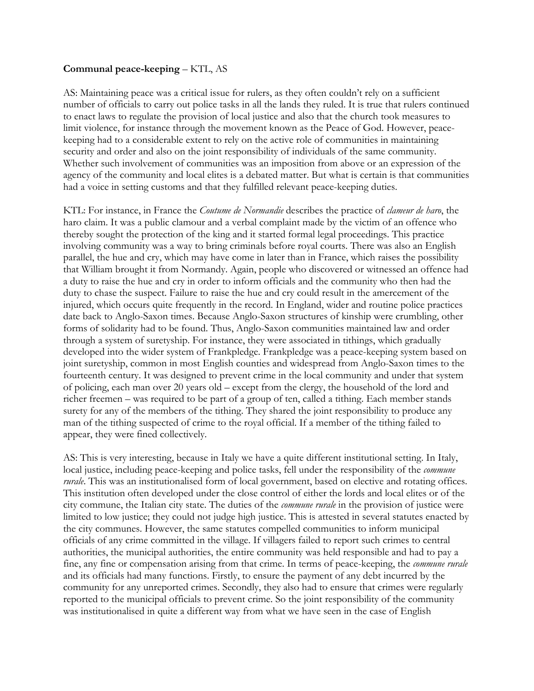## **Communal peace-keeping** – KTL, AS

AS: Maintaining peace was a critical issue for rulers, as they often couldn't rely on a sufficient number of officials to carry out police tasks in all the lands they ruled. It is true that rulers continued to enact laws to regulate the provision of local justice and also that the church took measures to limit violence, for instance through the movement known as the Peace of God. However, peacekeeping had to a considerable extent to rely on the active role of communities in maintaining security and order and also on the joint responsibility of individuals of the same community. Whether such involvement of communities was an imposition from above or an expression of the agency of the community and local elites is a debated matter. But what is certain is that communities had a voice in setting customs and that they fulfilled relevant peace-keeping duties.

KTL: For instance, in France the *Coutume de Normandie* describes the practice of *clameur de haro*, the haro claim. It was a public clamour and a verbal complaint made by the victim of an offence who thereby sought the protection of the king and it started formal legal proceedings. This practice involving community was a way to bring criminals before royal courts. There was also an English parallel, the hue and cry, which may have come in later than in France, which raises the possibility that William brought it from Normandy. Again, people who discovered or witnessed an offence had a duty to raise the hue and cry in order to inform officials and the community who then had the duty to chase the suspect. Failure to raise the hue and cry could result in the amercement of the injured, which occurs quite frequently in the record. In England, wider and routine police practices date back to Anglo-Saxon times. Because Anglo-Saxon structures of kinship were crumbling, other forms of solidarity had to be found. Thus, Anglo-Saxon communities maintained law and order through a system of suretyship. For instance, they were associated in tithings, which gradually developed into the wider system of Frankpledge. Frankpledge was a peace-keeping system based on joint suretyship, common in most English counties and widespread from Anglo-Saxon times to the fourteenth century. It was designed to prevent crime in the local community and under that system of policing, each man over 20 years old – except from the clergy, the household of the lord and richer freemen – was required to be part of a group of ten, called a tithing. Each member stands surety for any of the members of the tithing. They shared the joint responsibility to produce any man of the tithing suspected of crime to the royal official. If a member of the tithing failed to appear, they were fined collectively.

AS: This is very interesting, because in Italy we have a quite different institutional setting. In Italy, local justice, including peace-keeping and police tasks, fell under the responsibility of the *commune rurale*. This was an institutionalised form of local government, based on elective and rotating offices. This institution often developed under the close control of either the lords and local elites or of the city commune, the Italian city state. The duties of the *commune rurale* in the provision of justice were limited to low justice; they could not judge high justice. This is attested in several statutes enacted by the city communes. However, the same statutes compelled communities to inform municipal officials of any crime committed in the village. If villagers failed to report such crimes to central authorities, the municipal authorities, the entire community was held responsible and had to pay a fine, any fine or compensation arising from that crime. In terms of peace-keeping, the *commune rurale*  and its officials had many functions. Firstly, to ensure the payment of any debt incurred by the community for any unreported crimes. Secondly, they also had to ensure that crimes were regularly reported to the municipal officials to prevent crime. So the joint responsibility of the community was institutionalised in quite a different way from what we have seen in the case of English